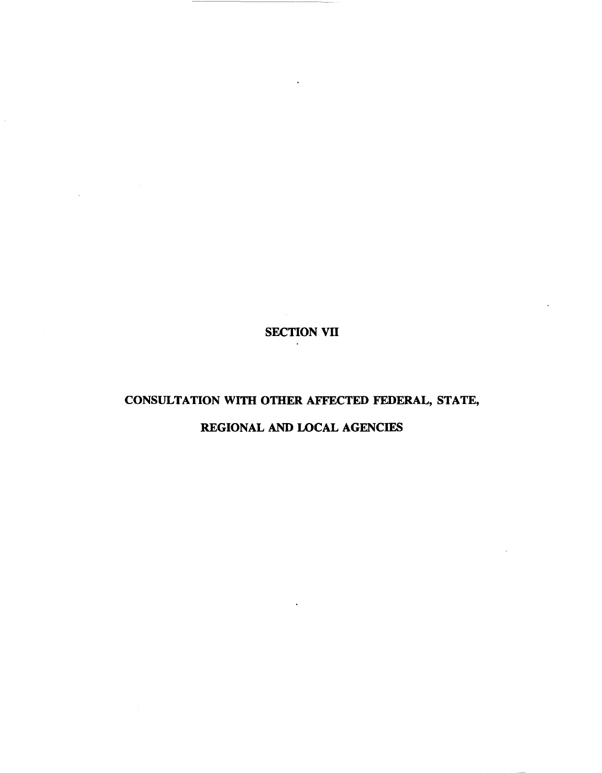## SECTION VII

## CONSULTATION WITH OTHER AFFECTED FEDERAL, STATE,

## REGIONAL AND LOCAL AGENCIES